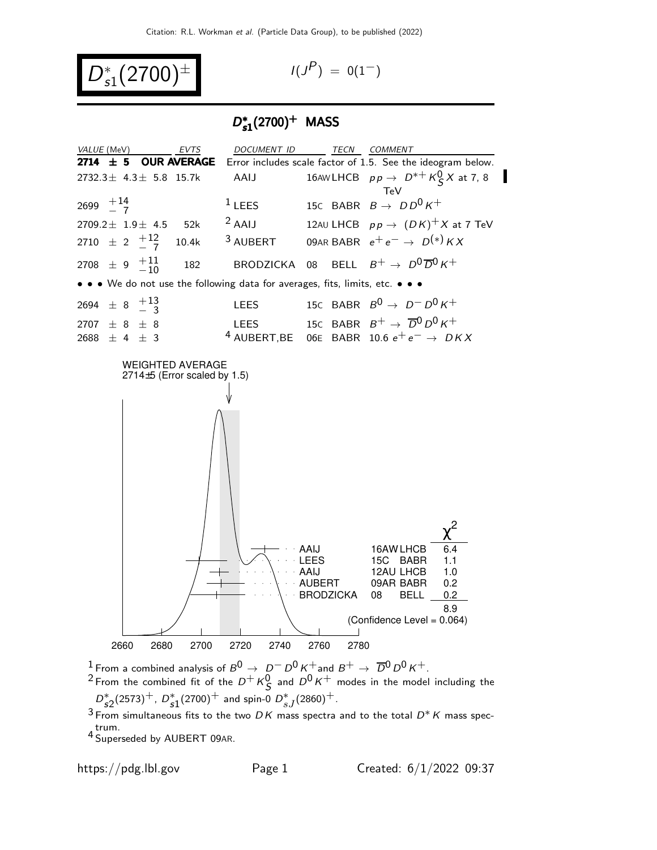$$
D_{s1}^*(2700)^{\pm} \qquad \qquad \text{(1)}
$$

$$
I(J^P) = 0(1^-)
$$

## D ∗  $D_{s1}^*(2700)^+$  MASS



<sup>1</sup> From a combined analysis of  $B^0 \to D^- D^0 K^+$  and  $B^+ \to \overline{D}{}^0 D^0 K^+$ .

 $^2$ From the combined fit of the  $D^+ \, K_S^0$  and  $D^0 \, K^+$  modes in the model including the  $D_{s2}^*(2573)^+$ ,  $D_{s1}^*(2700)^+$  and spin-0  $D_{sJ}^*(2860)^+$ .

3 From simultaneous fits to the two DK mass spectra and to the total  $D^*K$  mass spectrum.

4 Superseded by AUBERT 09AR.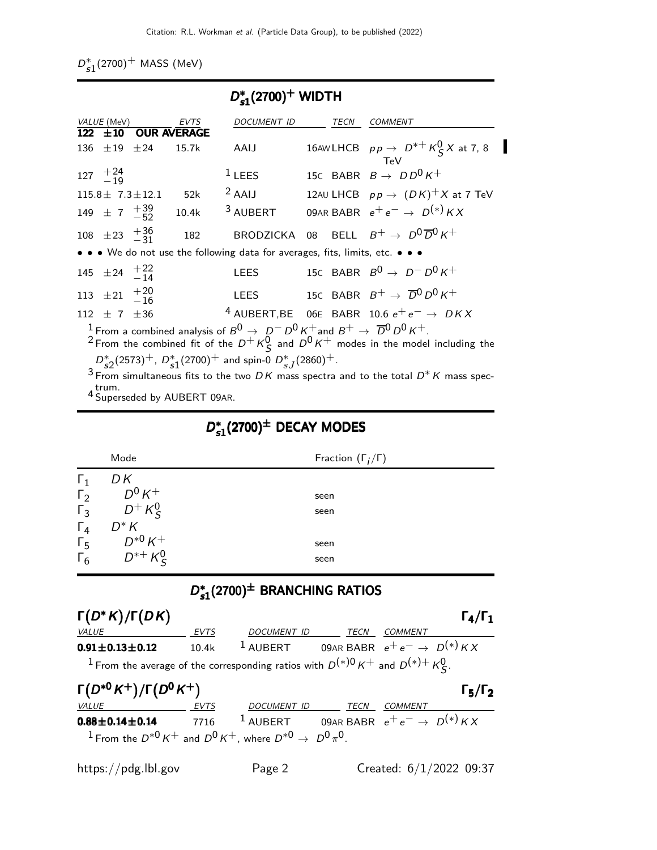$D_{\mathcal{S}1}^*(2700)^+$  MASS (MeV)

| $D_{s1}^*(2700)^+$ WIDTH                                                                                                                                                                                                        |                                    |                          |                                   |                                                                               |  |             |                                                                  |
|---------------------------------------------------------------------------------------------------------------------------------------------------------------------------------------------------------------------------------|------------------------------------|--------------------------|-----------------------------------|-------------------------------------------------------------------------------|--|-------------|------------------------------------------------------------------|
|                                                                                                                                                                                                                                 | <i>VALUE</i> (MeV)<br>$122 \pm 10$ |                          | <b>EVTS</b><br><b>OUR AVERAGE</b> | <b>DOCUMENT ID</b>                                                            |  | <b>TECN</b> | <b>COMMENT</b>                                                   |
| 136                                                                                                                                                                                                                             | $\pm 19$ $\pm 24$                  |                          | 15.7k                             | AAIJ                                                                          |  |             | 16AWLHCB $pp \rightarrow D^{*+} K^0_S X$ at 7, 8<br>TeV          |
|                                                                                                                                                                                                                                 | $127 \t +24 \t -19$                |                          |                                   | $1$ LEES                                                                      |  |             | 15C BABR $B \rightarrow D D^0 K^+$                               |
|                                                                                                                                                                                                                                 |                                    | $115.8 \pm 7.3 \pm 12.1$ | 52k                               | $2$ AAIJ                                                                      |  |             | 12AU LHCB $pp \rightarrow (DK)^+ X$ at 7 TeV                     |
|                                                                                                                                                                                                                                 | 149 $\pm$ 7 $^{+39}_{-52}$         |                          | 10.4k                             | <sup>3</sup> AUBERT                                                           |  |             | 09AR BABR $e^+e^- \rightarrow D^{(*)}KX$                         |
|                                                                                                                                                                                                                                 | 108 $\pm 23 + \frac{36}{31}$       |                          | 182                               |                                                                               |  |             | BRODZICKA 08 BELL $B^+ \rightarrow D^0 \overline{D}{}^0 K^+$     |
|                                                                                                                                                                                                                                 |                                    |                          |                                   | • • • We do not use the following data for averages, fits, limits, etc. • • • |  |             |                                                                  |
|                                                                                                                                                                                                                                 | 145 $\pm 24$ $^{+22}_{-14}$        |                          |                                   | LEES                                                                          |  |             | 15C BABR $B^0 \rightarrow D^- D^0 K^+$                           |
|                                                                                                                                                                                                                                 | 113 $\pm 21 + \frac{120}{16}$      |                          |                                   |                                                                               |  |             | LEES 15c BABR $B^+ \rightarrow \overline{D}^0 D^0 K^+$           |
|                                                                                                                                                                                                                                 | 112 $\pm$ 7 $\pm$ 36               |                          |                                   |                                                                               |  |             | <sup>4</sup> AUBERT, BE 06E BABR 10.6 $e^+e^- \rightarrow D K X$ |
| <sup>1</sup> From a combined analysis of $B^0 \rightarrow D^- D^0 K^+$ and $B^+ \rightarrow \overline{D}{}^0 D^0 K^+$ .<br><sup>2</sup> From the combined fit of the $D^+ K^0_S$ and $D^0 K^+$ modes in the model including the |                                    |                          |                                   |                                                                               |  |             |                                                                  |
| $D_{52}^*(2573)^+$ , $D_{51}^*(2700)^+$ and spin-0 $D_{s,I}^*(2860)^+$ .                                                                                                                                                        |                                    |                          |                                   |                                                                               |  |             |                                                                  |
| $^3$ From simultaneous fits to the two $DK$ mass spectra and to the total $D^*K$ mass spec-                                                                                                                                     |                                    |                          |                                   |                                                                               |  |             |                                                                  |
| trum.<br><sup>4</sup> Superseded by AUBERT 09AR.                                                                                                                                                                                |                                    |                          |                                   |                                                                               |  |             |                                                                  |

## D ∗  $D_{s1}^*(2700)^{\pm}$  DECAY MODES

|                | Mode                         | Fraction $(\Gamma_i/\Gamma)$ |
|----------------|------------------------------|------------------------------|
| $\mathsf{L}_1$ | DΚ                           |                              |
| $\Gamma_2$     | $D^0 K^+$                    | seen                         |
| $\Gamma_3$     | $D^+ K^0_S$                  | seen                         |
| $\Gamma_4$     | $D^*K$                       |                              |
| $\Gamma_5$     | $D^{*0}K^+$<br>$D^{*+}K^0_S$ | seen                         |
| $\Gamma_6$     |                              | seen                         |

## D<sup>∗</sup>  $D_{\mathtt{s1}}^{*}(2700)^{\pm}$  BRANCHING RATIOS

| $\Gamma(D^*K)/\Gamma(DK)$                                                                                      |       |                                                              |      |                           | $\Gamma_4/\Gamma_1$ |  |
|----------------------------------------------------------------------------------------------------------------|-------|--------------------------------------------------------------|------|---------------------------|---------------------|--|
| VALUE                                                                                                          | EVTS  | DOCUMENT ID                                                  | TECN | COMMENT                   |                     |  |
| $0.91 \pm 0.13 \pm 0.12$                                                                                       | 10.4k | <sup>1</sup> AUBERT 09AR BABR $e^+e^- \rightarrow D^{(*)}KX$ |      |                           |                     |  |
| <sup>1</sup> From the average of the corresponding ratios with $D^{(*)0}K^+$ and $D^{(*)+}K^0_{\mathcal{C}}$ . |       |                                                              |      |                           |                     |  |
| $\Gamma(D^{*0}K^+)/\Gamma(D^0K^+)$<br>$\Gamma_5/\Gamma_2$                                                      |       |                                                              |      |                           |                     |  |
| VALUE                                                                                                          | EVTS  | DOCUMENT ID                                                  | TECN | COMMENT                   |                     |  |
| $0.88 \pm 0.14 \pm 0.14$                                                                                       | 7716  | <sup>1</sup> AUBERT 09AR BABR $e^+e^- \rightarrow D^{(*)}KX$ |      |                           |                     |  |
| <sup>1</sup> From the $D^{*0}K^+$ and $D^0K^+$ , where $D^{*0}\rightarrow D^0\pi^0$ .                          |       |                                                              |      |                           |                     |  |
| https://pdg.lbl.gov                                                                                            |       | Page 2                                                       |      | Created: $6/1/2022$ 09:37 |                     |  |